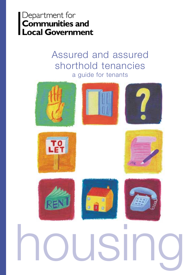# Department for<br>Communities and<br>Local Government

# Assured and assured shorthold tenancies a guide for tenants















# housing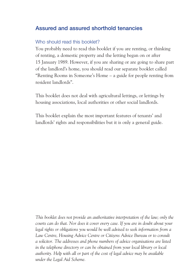#### **Assured and assured shorthold tenancies**

#### Who should read this booklet?

You probably need to read this booklet if you are renting, or thinking of renting, a domestic property and the letting began on or after 15 January 1989. However, if you are sharing or are going to share part of the landlord's home, you should read our separate booklet called "Renting Rooms in Someone's Home – a guide for people renting from resident landlords".

This booklet does not deal with agricultural lettings, or lettings by housing associations, local authorities or other social landlords.

This booklet explain the most important features of tenants' and landlords' rights and responsibilities but it is only a general guide.

*This booklet does not provide an authoritative interpretation of the law; only the courts can do that. Nor does it cover every case. If you are in doubt about your legal rights or obligations you would be well advised to seek information from a Law Centre, Housing Advice Centre or Citizens Advice Bureau or to consult a solicitor. The addresses and phone numbers of advice organisations are listed in the telephone directory or can be obtained from your local library or local authority. Help with all or part of the cost of legal advice may be available under the Legal Aid Scheme.*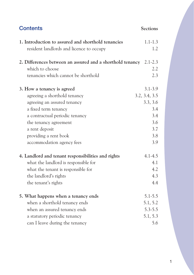| <b>Contents</b>                                           | <b>Sections</b> |
|-----------------------------------------------------------|-----------------|
| 1. Introduction to assured and shorthold tenancies        | $1.1 - 1.3$     |
| resident landlords and licence to occupy                  | 1.2             |
| 2. Differences between an assured and a shorthold tenancy | $2.1 - 2.3$     |
| which to choose                                           | 2.2             |
| tenancies which cannot be shorthold                       | 2.3             |
| 3. How a tenancy is agreed                                | $3.1 - 3.9$     |
| agreeing a shorthold tenancy                              | 3.2, 3.4, 3.5   |
| agreeing an assured tenancy                               | 3.3, 3.6        |
| a fixed term tenancy                                      | 3.4             |
| a contractual periodic tenancy                            | 3.4             |
| the tenancy agreement                                     | 3.6             |
| a rent deposit                                            | 3.7             |
| providing a rent book                                     | 3.8             |
| accommodation agency fees                                 | 3.9             |
| 4. Landlord and tenant responsibilities and rights        | $4.1 - 4.5$     |
| what the landlord is responsible for                      | 4.1             |
| what the tenant is responsible for                        | 4.2             |
| the landlord's rights                                     | 4.3             |
| the tenant's rights                                       | 4.4             |
| 5. What happens when a tenancy ends                       | $5.1 - 5.5$     |
| when a shorthold tenancy ends                             | 5.1, 5.2        |
| when an assured tenancy ends                              | $5.3 - 5.5$     |
| a statutory periodic tenancy                              | 5.1, 5.3        |
| can I leave during the tenancy                            | 5.6             |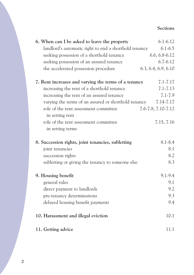#### **Sections**

| 6. When can I be asked to leave the property             | $6.1 - 6.12$        |
|----------------------------------------------------------|---------------------|
| landlord's automatic right to end a shorthold tenancy    | $6.1 - 6.5$         |
| seeking possession of a shorthold tenancy                | $6.6, 6.8 - 6.12$   |
| seeking possession of an assured tenancy                 | $6.7 - 6.12$        |
| the accelerated possession procedure                     | 6.3, 6.4, 6.9, 6.10 |
| 7. Rent increases and varying the terms of a tenancy     | $7.1 - 7.17$        |
| increasing the rent of a shorthold tenancy               | $7.1 - 7.13$        |
| increasing the rent of an assured tenancy                | $7.1 - 7.9$         |
| varying the terms of an assured or shorthold tenancy     | $7.14 - 7.17$       |
| role of the rent assessment committee<br>in setting rent | 7.6-7.8, 7.10-7.12  |
| role of the rent assessment committee                    | 7.15, 7.16          |
| in setting terms                                         |                     |
| 8. Succession rights, joint tenancies, subletting        | $8.1 - 8.4$         |
| joint tenancies                                          | 8.1                 |
| succession rights                                        | 8.2                 |
| subletting or giving the tenancy to someone else         | 8.3                 |
| 9. Housing benefit                                       | $9.1 - 9.4$         |
| general rules                                            | 9.1                 |
| direct payment to landlords                              | 9.2                 |
| pre-tenancy determinations                               | 9.3                 |
| delayed housing benefit payments                         | 9.4                 |
| 10. Harassment and illegal eviction                      | 10.1                |
| 11. Getting advice                                       | 11.1                |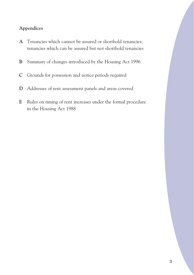#### **Appendices**

- **A** Tenancies which cannot be assured or shorthold tenancies; tenancies which can be assured but not shorthold tenancies
- **B** Summary of changes introduced by the Housing Act 1996
- **C** Grounds for possession and notice periods required
- **D** Addresses of rent assessment panels and areas covered
- **E** Rules on timing of rent increases under the formal procedure in the Housing Act 1988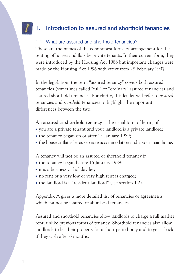# **1. Introduction to assured and shorthold tenancies**

#### 1.1 What are assured and shorthold tenancies?

These are the names of the commonest forms of arrangement for the renting of houses and flats by private tenants. In their current form, they were introduced by the Housing Act 1988 but important changes were made by the Housing Act 1996 with effect from 28 February 1997.

In the legislation, the term "assured tenancy" covers both assured tenancies (sometimes called "full" or "ordinary" assured tenancies) and assured shorthold tenancies. For clarity, this leaflet will refer to *assured*  tenancies and *shorthold* tenancies to highlight the important differences between the two.

An **assured** or **shorthold tenancy** is the usual form of letting if:

- you are a private tenant and your landlord is a private landlord;
- the tenancy began on or after 15 January 1989;
- the house or flat is let as separate accommodation and is your main home.

A tenancy will **not** be an assured or shorthold tenancy if:

- the tenancy began before 15 January 1989;
- it is a business or holiday let:
- no rent or a very low or very high rent is charged;
- the landlord is a "resident landlord" (see section 1.2).

Appendix A gives a more detailed list of tenancies or agreements which cannot be assured or shorthold tenancies.

Assured and shorthold tenancies allow landlords to charge a full market rent, unlike previous forms of tenancy. Shorthold tenancies also allow landlords to let their property for a short period only and to get it back if they wish after 6 months.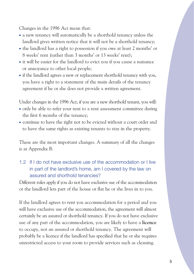Changes in the 1996 Act mean that:

- a new tenancy will automatically be a shorthold tenancy unless the landlord gives written notice that it will not be a shorthold tenancy;
- the landlord has a right to possession if you owe at least 2 months' or 8 weeks' rent (rather than 3 months' or 13 weeks' rent);
- $\bullet$  it will be easier for the landlord to evict you if you cause a nuisance or annoyance to other local people;
- if the landlord agrees a new or replacement shorthold tenancy with you, you have a right to a statement of the main details of the tenancy agreement if he or she does not provide a written agreement.

Under changes in the 1996 Act, if you are a new shorthold tenant, you will:

- only be able to refer your rent to a rent assessment committee during the first 6 months of the tenancy;
- continue to have the right not to be evicted without a court order and to have the same rights as existing tenants to stay in the property.

These are the most important changes. A summary of all the changes is at Appendix B.

1.2 If I do not have exclusive use of the accommodation or I live in part of the landlord's home, am I covered by the law on assured and shorthold tenancies?

Different rules apply if you do not have exclusive use of the accommodation or the landlord lets part of the house or flat he or she lives in to you.

If the landlord agrees to rent you accommodation for a period and you will have exclusive use of the accommodation, the agreement will almost certainly be an assured or shorthold tenancy. If you do not have exclusive use of any part of the accommodation, you are likely to have a **licence**  to occupy, not an assured or shorthold tenancy. The agreement will probably be a licence if the landlord has specified that he or she requires unrestricted access to your room to provide services such as cleaning.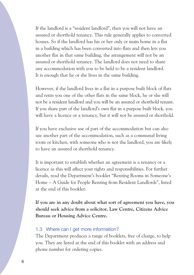If the landlord is a "resident landlord", then you will not have an assured or shorthold tenancy. This rule generally applies to converted houses. So if the landlord has his or her only or main home in a flat in a building which has been converted into flats and then lets you another flat in that same building, the arrangement will not be an assured or shorthold tenancy. The landlord does not need to share any accommodation with you to be held to be a resident landlord. It is enough that he or she lives in the same building.

However, if the landlord lives in a flat in a purpose built block of flats and rents you one of the other flats in the same block, he or she will not be a resident landlord and you will be an assured or shorthold tenant. If you share part of the landlord's own flat in a purpose built block, you will have a licence or a tenancy, but it will not be assured or shorthold.

If you have exclusive use of part of the accommodation but can also use another part of the accommodation, such as a communal living room or kitchen, with someone who is not the landlord, you are likely to have an assured or shorthold tenancy.

It is important to establish whether an agreement is a tenancy or a licence as this will affect your rights and responsibilities. For further details, read the Department's booklet "Renting Rooms in Someone's Home – A Guide for People Renting from Resident Landlords", listed at the end of this booklet.

**If you are in any doubt about what sort of agreement you have, you should seek advice from a solicitor, Law Centre, Citizens Advice Bureau or Housing Advice Centre.** 

#### 1.3 Where can I get more information?

The Department produces a range of booklets, free of charge, to help you. They are listed at the end of this booklet with an address and phone number for ordering copies.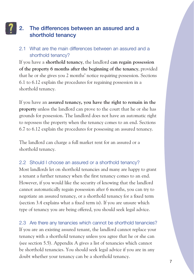# **2. The differences between an assured and a shorthold tenancy**

#### 2.1 What are the main differences between an assured and a shorthold tenancy?

If you have a **shorthold tenancy**, the landlord **can regain possession of the property 6 months after the beginning of the tenancy**, provided that he or she gives you 2 months' notice requiring possession. Sections 6.1 to 6.12 explain the procedures for regaining possession in a shorthold tenancy.

If you have an **assured tenancy, you have the right to remain in the property** unless the landlord can prove to the court that he or she has grounds for possession. The landlord does not have an automatic right to repossess the property when the tenancy comes to an end. Sections 6.7 to 6.12 explain the procedures for possessing an assured tenancy.

The landlord can charge a full market rent for an assured or a shorthold tenancy.

#### 2.2 Should I choose an assured or a shorthold tenancy?

Most landlords let on shorthold tenancies and many are happy to grant a tenant a further tenancy when the first tenancy comes to an end. However, if you would like the security of knowing that the landlord cannot automatically regain possession after 6 months, you can try to negotiate an assured tenancy, or a shorthold tenancy for a fixed term (section 3.4 explains what a fixed term is). If you are unsure which type of tenancy you are being offered, you should seek legal advice.

2.3 Are there any tenancies which cannot be shorthold tenancies? If you are an existing assured tenant, the landlord cannot replace your tenancy with a shorthold tenancy unless you agree that he or she can (see section 5.5). Appendix A gives a list of tenancies which cannot be shorthold tenancies. You should seek legal advice if you are in any doubt whether your tenancy can be a shorthold tenancy.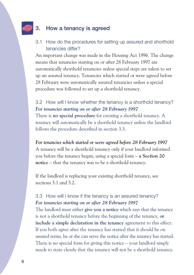# **3. How a tenancy is agreed**

#### 3.1 How do the procedures for setting up assured and shorthold tenancies differ?

An important change was made in the Housing Act 1996. The change means that tenancies starting on or after 28 February 1997 are automatically shorthold tenancies unless special steps are taken to set up an assured tenancy. Tenancies which started or were agreed before 28 February were automatically assured tenancies unless a special procedure was followed to set up a shorthold tenancy.

3.2 How will I know whether the tenancy is a shorthold tenancy? *For tenancies starting on or after 28 February 1997*  There is **no special procedure** for creating a shorthold tenancy. A tenancy will automatically be a shorthold tenancy unless the landlord follows the procedure described in section 3.3.

*For tenancies which started or were agreed before 28 February 1997*  A tenancy will be a shorthold tenancy only if your landlord informed you before the tenancy began, using a special form – **a Section 20 notice** – that the tenancy was to be a shorthold tenancy.

If the landlord is replacing your existing shorthold tenancy, see sections 5.1 and 5.2.

3.3 How will I know if the tenancy is an assured tenancy? *For tenancies starting on or after 28 February 1997*  The landlord must either **give you a notice** which says that the tenancy is not a shorthold tenancy before the beginning of the tenancy, **or include a simple declaration in the tenancy** agreement to this effect. If you both agree after the tenancy has started that it should be on assured terms, he or she can serve the notice after the tenancy has started. There is no special form for giving this notice – your landlord simply needs to state clearly that the tenancy will not be a shorthold tenancy.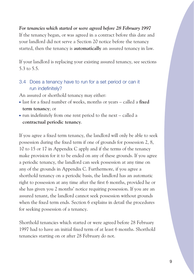#### *For tenancies which started or were agreed before 28 February 1997*

If the tenancy began, or was agreed in a contract before this date and your landlord did not serve a Section 20 notice before the tenancy started, then the tenancy is **automatically** an assured tenancy in law.

If your landlord is replacing your existing assured tenancy, see sections 5.3 to 5.5.

3.4 Does a tenancy have to run for a set period or can it run indefinitely?

An assured or shorthold tenancy may either:

- last for a fixed number of weeks, months or years called a **fixed term tenancy**; or
- run indefinitely from one rent period to the next called a **contractual periodic tenancy**.

If you agree a fixed term tenancy, the landlord will only be able to seek possession during the fixed term if one of grounds for possession 2, 8, 10 to 15 or 17 in Appendix C apply and if the terms of the tenancy make provision for it to be ended on any of these grounds. If you agree a periodic tenancy, the landlord can seek possession at any time on any of the grounds in Appendix C. Furthermore, if you agree a shorthold tenancy on a periodic basis, the landlord has an automatic right to possession at any time after the first 6 months, provided he or she has given you 2 months' notice requiring possession. If you are an assured tenant, the landlord cannot seek possession without grounds when the fixed term ends. Section 6 explains in detail the procedures for seeking possession of a tenancy.

Shorthold tenancies which started or were agreed before 28 February 1997 had to have an initial fixed term of at least 6 months. Shorthold tenancies starting on or after 28 February do not.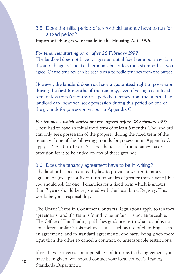#### 3.5 Does the initial period of a shorthold tenancy have to run for a fixed period?

**Important changes were made in the Housing Act 1996.** 

#### *For tenancies starting on or after 28 February 1997*

The landlord does not have to agree an initial fixed term but may do so if you both agree. The fixed term may be for less than six months if you agree. Or the tenancy can be set up as a periodic tenancy from the outset.

However, **the landlord does not have a guaranteed right to possession during the first 6 months of the tenancy**, even if you agreed a fixed term of less than 6 months or a periodic tenancy from the outset. The landlord can, however, seek possession during this period on one of the grounds for possession set out in Appendix C.

*For tenancies which started or were agreed before 28 February 1997*  These had to have an initial fixed term of at least 6 months. The landlord can only seek possession of the property during the fixed term of the tenancy if one of the following grounds for possession in Appendix C apply  $-2$ , 8, 10 to 15 or 17 – and the terms of the tenancy make provision for it to be ended on any of these grounds.

#### 3.6 Does the tenancy agreement have to be in writing?

The landlord is not required by law to provide a written tenancy agreement (except for fixed-term tenancies of greater than 3 years) but you should ask for one. Tenancies for a fixed term which is greater than 7 years should be registered with the local Land Registry. This would be your responsibility.

The Unfair Terms in Consumer Contracts Regulations apply to tenancy agreements, and if a term is found to be unfair it is not enforceable. The Office of Fair Trading publishes guidance as to what is and is not considered "unfair"; this includes issues such as use of plain English in an agreement; and in standard agreements, one party being given more right than the other to cancel a contract, or unreasonable restrictions.

If you have concerns about possible unfair terms in the agreement you have been given, you should contact your local council's Trading Standards Department.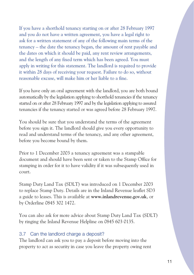If you have a shorthold tenancy starting on or after 28 February 1997 and you do not have a written agreement, you have a legal right to ask for a written statement of any of the following main terms of the tenancy – the date the tenancy began, the amount of rent payable and the dates on which it should be paid, any rent review arrangements, and the length of any fixed term which has been agreed. You must apply in writing for this statement. The landlord is required to provide it within 28 days of receiving your request. Failure to do so, without reasonable excuse, will make him or her liable to a fine.

If you have only an oral agreement with the landlord, you are both bound automatically by the legislation applying to shorthold tenancies if the tenancy started on or after 28 February 1997 and by the legislation applying to assured tenancies if the tenancy started or was agreed before 28 February 1997.

You should be sure that you understand the terms of the agreement before you sign it. The landlord should give you every opportunity to read and understand terms of the tenancy, and any other agreement, before you become bound by them.

Prior to 1 December 2003 a tenancy agreement was a stampable document and should have been sent or taken to the Stamp Office for stamping in order for it to have validity if it was subsequently used in court.

Stamp Duty Land Tax (SDLT) was introduced on 1 December 2003 to replace Stamp Duty. Details are in the Inland Revenue leaflet SD3 a guide to leases. This is available at **[www.inlandrevenue.gov.uk](www.inlandrevenue.gov.uk,or)**, or by Orderline 0845 302 1472.

You can also ask for more advice about Stamp Duty Land Tax (SDLT) by ringing the Inland Revenue Helpline on 0845 603 0135.

#### 3.7 Can the landlord charge a deposit?

The landlord can ask you to pay a deposit before moving into the property to act as security in case you leave the property owing rent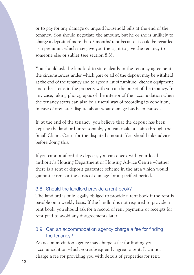or to pay for any damage or unpaid household bills at the end of the tenancy. You should negotiate the amount, but he or she is unlikely to charge a deposit of more than 2 months' rent because it could be regarded as a premium, which may give you the right to give the tenancy to someone else or sublet (see section 8.3).

You should ask the landlord to state clearly in the tenancy agreement the circumstances under which part or all of the deposit may be withheld at the end of the tenancy and to agree a list of furniture, kitchen equipment and other items in the property with you at the outset of the tenancy. In any case, taking photographs of the interior of the accomodation when the tenancy starts can also be a useful way of recording its condition, in case of any later dispute about what damage has been caused.

If, at the end of the tenancy, you believe that the deposit has been kept by the landlord unreasonably, you can make a claim through the Small Claims Court for the disputed amount. You should take advice before doing this.

If you cannot afford the deposit, you can check with your local authority's Housing Department or Housing Advice Centre whether there is a rent or deposit guarantee scheme in the area which would guarantee rent or the costs of damage for a specified period.

#### 3.8 Should the landlord provide a rent book?

The landlord is only legally obliged to provide a rent book if the rent is payable on a weekly basis. If the landlord is not required to provide a rent book, you should ask for a record of rent payments or receipts for rent paid to avoid any disagreements later.

#### 3.9 Can an accommodation agency charge a fee for finding the tenancy?

An accommodation agency may charge a fee for finding you accommodation which you subsequently agree to rent. It cannot charge a fee for providing you with details of properties for rent.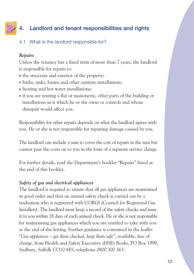# **4. Landlord and tenant responsibilities and rights**

#### 4.1 What is the landlord responsible for?

#### *Repairs*

Unless the tenancy has a fixed term of more than 7 years, the landlord is responsible for repairs to:

- the structure and exterior of the property;
- baths, sinks, basins and other sanitary installations;
- heating and hot water installations;
- if you are renting a flat or maisonette, other parts of the building or installations in it which he or she owns or controls and whose disrepair would affect you.

Responsibility for other repairs depends on what the landlord agrees with you. He or she is not responsible for repairing damage caused by you.

The landlord can include a sum to cover the cost of repairs in the rent but cannot pass the costs on to you in the form of a separate service charge.

For further details, read the Department's booklet "Repairs" listed at the end of this booklet.

#### *Safety of gas and electrical appliances*

The landlord is required to ensure that all gas appliances are maintained in good order and that an annual safety check is carried out by a tradesman who is registered with CORGI (Council for Registered Gas Installers). The landlord must keep a record of the safety checks and issue it to you within 28 days of each annual check. He or she is not responsible for maintaining gas appliances which you are entitled to take with you at the end of the letting. Further guidance is contained in the leaflet "*Gas appliances – get them checked, keep them safe*", available, free of charge, from Health and Safety Executive (HSE) Books, PO Box 1999, Sudbury, Suffolk CO10 6FS, telephone 0800 300 363.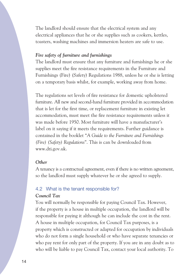The landlord should ensure that the electrical system and any electrical appliances that he or she supplies such as cookers, kettles, toasters, washing machines and immersion heaters are safe to use.

#### *Fire safety of furniture and furnishings*

The landlord must ensure that any furniture and furnishings he or she supplies meet the fire resistance requirements in the Furniture and Furnishings (Fire) (Safety) Regulations 1988, unless he or she is letting on a temporary basis whilst, for example, working away from home.

The regulations set levels of fire resistance for domestic upholstered furniture. All new and second-hand furniture provided in accommodation that is let for the first time, or replacement furniture in existing let accommodation, must meet the fire resistance requirements unless it was made before 1950. Most furniture will have a manufacturer's label on it saying if it meets the requirements. Further guidance is contained in the booklet "*A Guide to the Furniture and Furnishings (Fire) (Safety) Regulations*". This is can be downloaded from <www.dti.gov.uk>.

#### *Other*

A tenancy is a contractual agreement, even if there is no written agreement, so the landlord must supply whatever he or she agreed to supply.

#### 4.2 What is the tenant responsible for?

#### *Council Tax*

You will normally be responsible for paying Council Tax. However, if the property is a house in multiple occupation, the landlord will be responsible for paying it although he can include the cost in the rent. A house in multiple occupation, for Council Tax purposes, is a property which is constructed or adapted for occupation by individuals who do not form a single household or who have separate tenancies or who pay rent for only part of the property. If you are in any doubt as to who will be liable to pay Council Tax, contact your local authority. To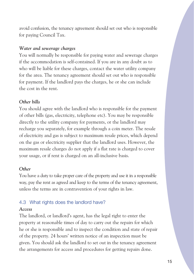avoid confusion, the tenancy agreement should set out who is responsible for paying Council Tax.

#### *Water and sewerage charges*

You will normally be responsible for paying water and sewerage charges if the accommodation is self-contained. If you are in any doubt as to who will be liable for these charges, contact the water utility company for the area. The tenancy agreement should set out who is responsible for payment. If the landlord pays the charges, he or she can include the cost in the rent.

#### *Other bills*

You should agree with the landlord who is responsible for the payment of other bills (gas, electricity, telephone etc). You may be responsible directly to the utility company for payments, or the landlord may recharge you separately, for example through a coin meter. The resale of electricity and gas is subject to maximum resale prices, which depend on the gas or electricity supplier that the landlord uses. However, the maximum resale charges do not apply if a flat rate is charged to cover your usage, or if rent is charged on an all-inclusive basis.

#### *Other*

You have a duty to take proper care of the property and use it in a responsible way, pay the rent as agreed and keep to the terms of the tenancy agreement, unless the terms are in contravention of your rights in law.

#### 4.3 What rights does the landlord have?

#### *Access*

The landlord, or landlord's agent, has the legal right to enter the property at reasonable times of day to carry out the repairs for which he or she is responsible and to inspect the condition and state of repair of the property. 24 hours' written notice of an inspection must be given. You should ask the landlord to set out in the tenancy agreement the arrangements for access and procedures for getting repairs done.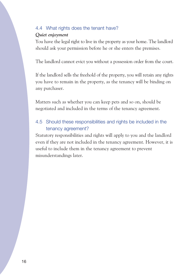#### 4.4 What rights does the tenant have?

#### *Quiet enjoyment*

You have the legal right to live in the property as your home. The landlord should ask your permission before he or she enters the premises.

The landlord cannot evict you without a possession order from the court.

If the landlord sells the freehold of the property, you will retain any rights you have to remain in the property, as the tenancy will be binding on any purchaser.

Matters such as whether you can keep pets and so on, should be negotiated and included in the terms of the tenancy agreement.

#### 4.5 Should these responsibilities and rights be included in the tenancy agreement?

Statutory responsibilities and rights will apply to you and the landlord even if they are not included in the tenancy agreement. However, it is useful to include them in the tenancy agreement to prevent misunderstandings later.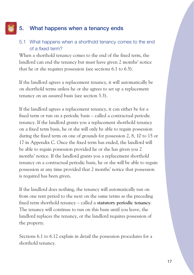# **5. What happens when a tenancy ends**

#### 5.1 What happens when a shorthold tenancy comes to the end of a fixed term?

When a shorthold tenancy comes to the end of the fixed term, the landlord can end the tenancy but must have given 2 months' notice that he or she requires possession (see sections 6.1 to 6.5).

If the landlord agrees a replacement tenancy, it will automatically be on shorthold terms unless he or she agrees to set up a replacement tenancy on an assured basis (see section 3.3).

If the landlord agrees a replacement tenancy, it can either be for a fixed term or run on a periodic basis – called a contractual periodic tenancy. If the landlord grants you a replacement shorthold tenancy on a fixed term basis, he or she will only be able to regain possession during the fixed term on one of grounds for possession 2, 8, 10 to 15 or 17 in Appendix C. Once the fixed term has ended, the landlord will be able to regain possession provided he or she has given you 2 months' notice. If the landlord grants you a replacement shorthold tenancy on a contractual periodic basis, he or she will be able to regain possession at any time provided that 2 months' notice that possession is required has been given.

If the landlord does nothing, the tenancy will automatically run on from one rent period to the next on the same terms as the preceding fixed term shorthold tenancy – called a **statutory periodic tenancy**. The tenancy will continue to run on this basis until you leave, the landlord replaces the tenancy, or the landlord requires possession of the property.

Sections 6.1 to 6.12 explain in detail the possession procedures for a shorthold tenancy.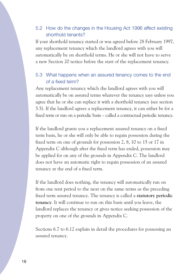#### 5.2 How do the changes in the Housing Act 1996 affect existing shorthold tenants?

If your shorthold tenancy started or was agreed before 28 February 1997, any replacement tenancy which the landlord agrees with you will automatically be on shorthold terms. He or she will not have to serve a new Section 20 notice before the start of the replacement tenancy.

#### 5.3 What happens when an assured tenancy comes to the end of a fixed term?

Any replacement tenancy which the landlord agrees with you will automatically be on assured terms whatever the tenancy says unless you agree that he or she can replace it with a shorthold tenancy (see section 5.5). If the landlord agrees a replacement tenancy, it can either be for a fixed term or run on a periodic basis – called a contractual periodic tenancy.

If the landlord grants you a replacement assured tenancy on a fixed term basis, he or she will only be able to regain possession during the fixed term on one of grounds for possession 2, 8, 10 to 15 or 17 in Appendix C although after the fixed term has ended, possession may be applied for on any of the grounds in Appendix C. The landlord does not have an automatic right to regain possession of an assured tenancy at the end of a fixed term.

If the landlord does nothing, the tenancy will automatically run on from one rent period to the next on the same terms as the preceding fixed term assured tenancy. The tenancy is called a **statutory periodic tenancy**. It will continue to run on this basis until you leave, the landlord replaces the tenancy or gives notice seeking possession of the property on one of the grounds in Appendix C.

Sections 6.7 to 6.12 explain in detail the procedures for possessing an assured tenancy.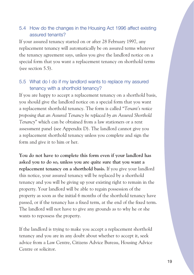#### 5.4 How do the changes in the Housing Act 1996 affect existing assured tenants?

If your assured tenancy started on or after 28 February 1997, any replacement tenancy will automatically be on assured terms whatever the tenancy agreement says, unless you give the landlord notice on a special form that you want a replacement tenancy on shorthold terms (see section 5.5).

#### 5.5 What do I do if my landlord wants to replace my assured tenancy with a shorthold tenancy?

If you are happy to accept a replacement tenancy on a shorthold basis, you should give the landlord notice on a special form that you want a replacement shorthold tenancy. The form is called "*Tenant's notice proposing that an Assured Tenancy be replaced by an Assured Shorthold Tenancy*" which can be obtained from a law stationers or a rent assessment panel (see Appendix D). The landlord cannot give you a replacement shorthold tenancy unless you complete and sign the form and give it to him or her.

**You do not have to complete this form even if your landlord has asked you to do so, unless you are quite sure that you want a replacement tenancy on a shorthold basis.** If you give your landlord this notice, your assured tenancy will be replaced by a shorthold tenancy and you will be giving up your existing right to remain in the property. Your landlord will be able to regain possession of the property as soon as the initial 6 months of the shorthold tenancy have passed, or if the tenancy has a fixed term, at the end of the fixed term. The landlord will not have to give any grounds as to why he or she wants to repossess the property.

If the landlord is trying to make you accept a replacement shorthold tenancy and you are in any doubt about whether to accept it, seek advice from a Law Centre, Citizens Advice Bureau, Housing Advice Centre or solicitor.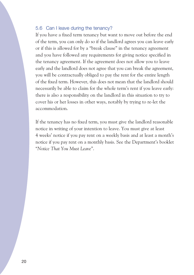#### 5.6 Can I leave during the tenancy?

If you have a fixed term tenancy but want to move out before the end of the term, you can only do so if the landlord agrees you can leave early or if this is allowed for by a "break clause" in the tenancy agreement and you have followed any requirements for giving notice specified in the tenancy agreement. If the agreement does not allow you to leave early and the landlord does not agree that you can break the agreement, you will be contractually obliged to pay the rent for the entire length of the fixed term. However, this does not mean that the landlord should necessarily be able to claim for the whole term's rent if you leave early: there is also a responsibility on the landlord in this situation to try to cover his or her losses in other ways, notably by trying to re-let the accommodation.

If the tenancy has no fixed term, you must give the landlord reasonable notice in writing of your intention to leave. You must give at least 4 weeks' notice if you pay rent on a weekly basis and at least a month's notice if you pay rent on a monthly basis. See the Department's booklet "*Notice That You Must Leave*".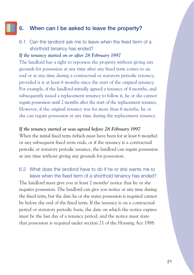# **6. When can I be asked to leave the property?**

6.1 Can the landlord ask me to leave when the fixed term of a shorthold tenancy has ended?

#### *If the tenancy started on or after 28 February 1997*

The landlord has a right to repossess the property without giving any grounds for possession at any time after any fixed term comes to an end or at any time during a contractual or statutory periodic tenancy, provided it is at least 6 months since the start of the original tenancy. For example, if the landlord initially agreed a tenancy of 4 months, and subsequently issued a replacement tenancy to follow it, he or she cannot regain possession until 2 months after the start of the replacement tenancy. However, if the original tenancy was for more than 6 months, he or she can regain possession at any time during the replacement tenancy.

#### *If the tenancy started or was agreed before 28 February 1997*

When the initial fixed term (which must have been for at least 6 months) or any subsequent fixed term ends, or if the tenancy is a contractual periodic or statutory periodic tenancy, the landlord can regain possession at any time without giving any grounds for possession.

#### 6.2 What does the landlord have to do if he or she wants me to leave when the fixed term of a shorthold tenancy has ended?

The landlord must give you at least 2 months' notice that he or she requires possession. The landlord can give you notice at any time during the fixed term, but the date he or she states possession is required cannot be before the end of the fixed term. If the tenancy is on a contractual period or statutory periodic basis, the date on which the notice expires must be the last day of a tenancy period, and the notice must state that possession is required under section 21 of the Housing Act 1988.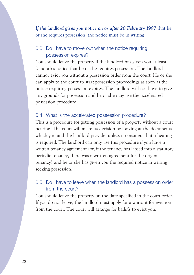*If the landlord gives you notice on or after 28 February 1997* that he or she requires possession, the notice must be in writing.

#### 6.3 Do I have to move out when the notice requiring possession expires?

You should leave the property if the landlord has given you at least 2 month's notice that he or she requires possession. The landlord cannot evict you without a possession order from the court. He or she can apply to the court to start possession proceedings as soon as the notice requiring possession expires. The landlord will not have to give any grounds for possession and he or she may use the accelerated possession procedure.

#### 6.4 What is the accelerated possession procedure?

This is a procedure for getting possession of a property without a court hearing. The court will make its decision by looking at the documents which you and the landlord provide, unless it considers that a hearing is required. The landlord can only use this procedure if you have a written tenancy agreement (or, if the tenancy has lapsed into a statutory periodic tenancy, there was a written agreement for the original tenancy) and he or she has given you the required notice in writing seeking possession.

#### 6.5 Do I have to leave when the landlord has a possession order from the court?

You should leave the property on the date specified in the court order. If you do not leave, the landlord must apply for a warrant for eviction from the court. The court will arrange for bailiffs to evict you.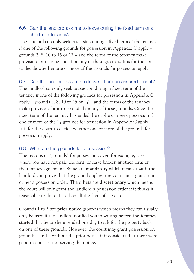#### 6.6 Can the landlord ask me to leave during the fixed term of a shorthold tenancy?

The landlord can only seek possession during a fixed term of the tenancy if one of the following grounds for possession in Appendix C apply – grounds 2, 8, 10 to 15 or 17 – and the terms of the tenancy make provision for it to be ended on any of these grounds. It is for the court to decide whether one or more of the grounds for possession apply.

6.7 Can the landlord ask me to leave if I am an assured tenant? The landlord can only seek possession during a fixed term of the tenancy if one of the following grounds for possession in Appendix C apply – grounds 2, 8, 10 to 15 or  $17$  – and the terms of the tenancy make provision for it to be ended on any of these grounds. Once the fixed term of the tenancy has ended, he or she can seek possession if one or more of the 17 grounds for possession in Appendix C apply. It is for the court to decide whether one or more of the grounds for possession apply.

#### 6.8 What are the grounds for possession?

The reasons or "grounds" for possession cover, for example, cases where you have not paid the rent, or have broken another term of the tenancy agreement. Some are **mandatory** which means that if the landlord can prove that the ground applies, the court must grant him or her a possession order. The others are **discretionary** which means the court will only grant the landlord a possession order if it thinks it reasonable to do so, based on all the facts of the case.

Grounds 1 to 5 are **prior notice** grounds which means they can usually only be used if the landlord notified you in writing **before the tenancy started** that he or she intended one day to ask for the property back on one of these grounds. However, the court may grant possession on grounds 1 and 2 without the prior notice if it considers that there were good reasons for not serving the notice.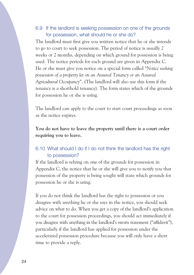#### 6.9 If the landlord is seeking possession on one of the grounds for possession, what should he or she do?

The landlord must first give you written notice that he or she intends to go to court to seek possession. The period of notice is usually 2 weeks or 2 months, depending on which ground for possession is being used. The notice periods for each ground are given in Appendix C. He or she must give you notice on a special form called "*Notice seeking possession of a property let on an Assured Tenancy or an Assured Agricultural Occupancy*". (The landlord will also use this form if the tenancy is a shorthold tenancy). The form states which of the grounds for possession he or she is using.

The landlord can apply to the court to start court proceedings as soon as the notice expires.

#### **You do not have to leave the property until there is a court order requiring you to leave.**

#### 6.10 What should I do if I do not think the landlord has the right to possession?

If the landlord is relying on one of the grounds for possession in Appendix C, the notice that he or she will give you to notify you that possession of the property is being sought will state which grounds for possession he or she is using.

If you do not think the landlord has the right to possession or you disagree with anything he or she says in the notice, you should seek advice on what to do. When you get a copy of the landlord's application to the court for possession proceedings, you should act immediately if you disagree with anything in the landlord's sworn statement ("affidavit"), particularly if the landlord has applied for possession under the accelerated possession procedure because you will only have a short time to provide a reply.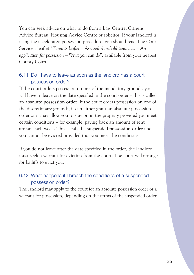You can seek advice on what to do from a Law Centre, Citizens Advice Bureau, Housing Advice Centre or solicitor. If your landlord is using the accelerated possession procedure, you should read The Court Service's leaflet "*Tenants leaflet – Assured shorthold tenancies – An application for possession – What you can do*", available from your nearest County Court.

#### 6.11 Do I have to leave as soon as the landlord has a court possession order?

If the court orders possession on one of the mandatory grounds, you will have to leave on the date specified in the court order – this is called an **absolute possession order**. If the court orders possession on one of the discretionary grounds, it can either grant an absolute possession order or it may allow you to stay on in the property provided you meet certain conditions – for example, paying back an amount of rent arrears each week. This is called a **suspended possession order** and you cannot be evicted provided that you meet the conditions.

If you do not leave after the date specified in the order, the landlord must seek a warrant for eviction from the court. The court will arrange for bailiffs to evict you.

#### 6.12 What happens if I breach the conditions of a suspended possession order?

The landlord may apply to the court for an absolute possession order or a warrant for possession, depending on the terms of the suspended order.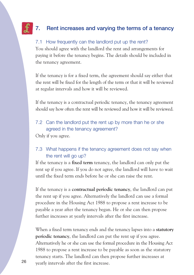# **7. Rent increases and varying the terms of a tenancy**

#### 7.1 How frequently can the landlord put up the rent?

You should agree with the landlord the rent and arrangements for paying it before the tenancy begins. The details should be included in the tenancy agreement.

If the tenancy is for a fixed term, the agreement should say either that the rent will be fixed for the length of the term or that it will be reviewed at regular intervals and how it will be reviewed.

If the tenancy is a contractual periodic tenancy, the tenancy agreement should say how often the rent will be reviewed and how it will be reviewed.

#### 7.2 Can the landlord put the rent up by more than he or she agreed in the tenancy agreement?

Only if you agree.

#### 7.3 What happens if the tenancy agreement does not say when the rent will go up?

If the tenancy is a **fixed term** tenancy, the landlord can only put the rent up if you agree. If you do not agree, the landlord will have to wait until the fixed term ends before he or she can raise the rent.

If the tenancy is a **contractual periodic tenancy**, the landlord can put the rent up if you agree. Alternatively the landlord can use a formal procedure in the Housing Act 1988 to propose a rent increase to be payable a year after the tenancy began. He or she can then propose further increases at yearly intervals after the first increase.

When a fixed term tenancy ends and the tenancy lapses into a **statutory periodic tenancy**, the landlord can put the rent up if you agree. Alternatively he or she can use the formal procedure in the Housing Act 1988 to propose a rent increase to be payable as soon as the statutory tenancy starts. The landlord can then propose further increases at yearly intervals after the first increase. 26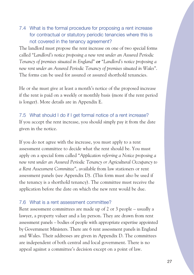7.4 What is the formal procedure for proposing a rent increase for contractual or statutory periodic tenancies where this is not covered in the tenancy agreement?

The landlord must propose the rent increase on one of two special forms called "*Landlord's notice proposing a new rent under an Assured Periodic Tenancy of premises situated in England*" **or** "*Landlord's notice proposing a new rent under an Assured Periodic Tenancy of premises situated in Wales*". The forms can be used for assured or assured shorthold tenancies.

He or she must give at least a month's notice of the proposed increase if the rent is paid on a weekly or monthly basis (more if the rent period is longer). More details are in Appendix E.

7.5 What should I do if I get formal notice of a rent increase? If you accept the rent increase, you should simply pay it from the date given in the notice.

If you do not agree with the increase, you must apply to a rent assessment committee to decide what the rent should be. You must apply on a special form called "*Application referring a Notice proposing a new rent under an Assured Periodic Tenancy or Agricultural Occupancy to a Rent Assessment Committee*", available from law stationers or rent assessment panels (see Appendix D). (This form must also be used if the tenancy is a shorthold tenancy). The committee must receive the application before the date on which the new rent would be due.

#### 7.6 What is a rent assessment committee?

Rent assessment committees are made up of 2 or 3 people – usually a lawyer, a property valuer and a lay person. They are drawn from rent assessment panels – bodies of people with appropriate expertise appointed by Government Ministers. There are 6 rent assessment panels in England and Wales. Their addresses are given in Appendix D. The committees are independent of both central and local government. There is no appeal against a committee's decision except on a point of law.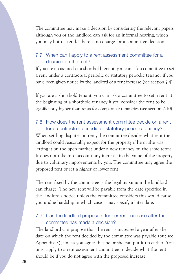The committee may make a decision by considering the relevant papers although you or the landlord can ask for an informal hearing, which you may both attend. There is no charge for a committee decision.

#### 7.7 When can I apply to a rent assessment committee for a decision on the rent?

If you are an assured or a shorthold tenant, you can ask a committee to set a rent under a contractual periodic or statutory periodic tenancy if you have been given notice by the landlord of a rent increase (see section 7.4).

If you are a shorthold tenant, you can ask a committee to set a rent at the beginning of a shorthold tenancy if you consider the rent to be significantly higher than rents for comparable tenancies (see section 7.10).

#### 7.8 How does the rent assessment committee decide on a rent for a contractual periodic or statutory periodic tenancy?

When settling disputes on rent, the committee decides what rent the landlord could reasonably expect for the property if he or she was letting it on the open market under a new tenancy on the same terms. It does not take into account any increase in the value of the property due to voluntary improvements by you. The committee may agree the proposed rent or set a higher or lower rent.

The rent fixed by the committee is the legal maximum the landlord can charge. The new rent will be payable from the date specified in the landlord's notice unless the committee considers this would cause you undue hardship in which case it may specify a later date.

#### 7.9 Can the landlord propose a further rent increase after the committee has made a decision?

The landlord can propose that the rent is increased a year after the date on which the rent decided by the committee was payable (but see Appendix E), unless you agree that he or she can put it up earlier. You must apply to a rent assessment committee to decide what the rent should be if you do not agree with the proposed increase.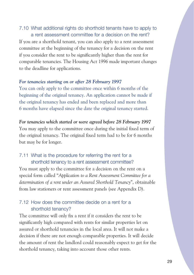#### 7.10 What additional rights do shorthold tenants have to apply to a rent assessment committee for a decision on the rent?

If you are a shorthold tenant, you can also apply to a rent assessment committee at the beginning of the tenancy for a decision on the rent if you consider the rent to be significantly higher than the rent for comparable tenancies. The Housing Act 1996 made important changes to the deadline for applications.

#### *For tenancies starting on or after 28 February 1997*

You can only apply to the committee once within 6 months of the beginning of the original tenancy. An application cannot be made if the original tenancy has ended and been replaced and more than 6 months have elapsed since the date the original tenancy started.

*For tenancies which started or were agreed before 28 February 1997*  You may apply to the committee once during the initial fixed term of the original tenancy. The original fixed term had to be for 6 months but may be for longer.

#### 7.11 What is the procedure for referring the rent for a shorthold tenancy to a rent assessment committee?

You must apply to the committee for a decision on the rent on a special form called "*Application to a Rent Assessment Committee for a determination of a rent under an Assured Shorthold Tenancy*", obtainable from law stationers or rent assessment panels (see Appendix D).

#### 7.12 How does the committee decide on a rent for a shorthold tenancy?

The committee will only fix a rent if it considers the rent to be significantly high compared with rents for similar properties let on assured or shorthold tenancies in the local area. It will not make a decision if there are not enough comparable properties. It will decide the amount of rent the landlord could reasonably expect to get for the shorthold tenancy, taking into account those other rents.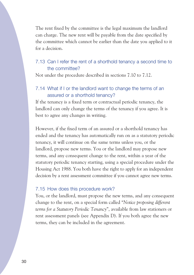The rent fixed by the committee is the legal maximum the landlord can charge. The new rent will be payable from the date specified by the committee which cannot be earlier than the date you applied to it for a decision.

#### 7.13 Can I refer the rent of a shorthold tenancy a second time to the committee?

Not under the procedure described in sections 7.10 to 7.12.

#### 7.14 What if I or the landlord want to change the terms of an assured or a shorthold tenancy?

If the tenancy is a fixed term or contractual periodic tenancy, the landlord can only change the terms of the tenancy if you agree. It is best to agree any changes in writing.

However, if the fixed term of an assured or a shorthold tenancy has ended and the tenancy has automatically run on as a statutory periodic tenancy, it will continue on the same terms unless you, or the landlord, propose new terms. You or the landlord may propose new terms, and any consequent change to the rent, within a year of the statutory periodic tenancy starting, using a special procedure under the Housing Act 1988. You both have the right to apply for an independent decision by a rent assessment committee if you cannot agree new terms.

#### 7.15 How does this procedure work?

You, or the landlord, must propose the new terms, and any consequent change to the rent, on a special form called "*Notice proposing different terms for a Statutory Periodic Tenancy*", available from law stationers or rent assessment panels (see Appendix D). If you both agree the new terms, they can be included in the agreement.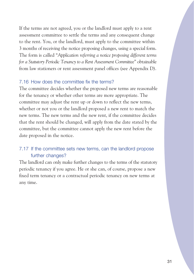If the terms are not agreed, you or the landlord must apply to a rent assessment committee to settle the terms and any consequent change to the rent. You, or the landlord, must apply to the committee within 3 months of receiving the notice proposing changes, using a special form. The form is called "*Application referring a notice proposing different terms for a Statutory Periodic Tenancy to a Rent Assessment Committee*" obtainable from law stationers or rent assessment panel offices (see Appendix D).

#### 7.16 How does the committee fix the terms?

The committee decides whether the proposed new terms are reasonable for the tenancy or whether other terms are more appropriate. The committee may adjust the rent up or down to reflect the new terms, whether or not you or the landlord proposed a new rent to match the new terms. The new terms and the new rent, if the committee decides that the rent should be changed, will apply from the date stated by the committee, but the committee cannot apply the new rent before the date proposed in the notice.

#### 7.17 If the committee sets new terms, can the landlord propose further changes?

The landlord can only make further changes to the terms of the statutory periodic tenancy if you agree. He or she can, of course, propose a new fixed term tenancy or a contractual periodic tenancy on new terms at any time.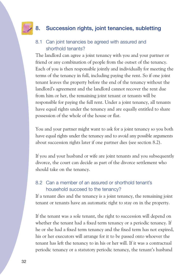# **8. Succession rights, joint tenancies, subletting**

#### 8.1 Can joint tenancies be agreed with assured and shorthold tenants?

The landlord can agree a joint tenancy with you and your partner or friend or any combination of people from the outset of the tenancy. Each of you is then responsible jointly and individually for meeting the terms of the tenancy in full, including paying the rent. So if one joint tenant leaves the property before the end of the tenancy without the landlord's agreement and the landlord cannot recover the rent due from him or her, the remaining joint tenant or tenants will be responsible for paying the full rent. Under a joint tenancy, all tenants have equal rights under the tenancy and are equally entitled to share possession of the whole of the house or flat.

You and your partner might want to ask for a joint tenancy so you both have equal rights under the tenancy and to avoid any possible arguments about succession rights later if one partner dies (see section 8.2).

If you and your husband or wife are joint tenants and you subsequently divorce, the court can decide as part of the divorce settlement who should take on the tenancy.

#### 8.2 Can a member of an assured or shorthold tenant's household succeed to the tenancy?

If a tenant dies and the tenancy is a joint tenancy, the remaining joint tenant or tenants have an automatic right to stay on in the property.

If the tenant was a sole tenant, the right to succession will depend on whether the tenant had a fixed term tenancy or a periodic tenancy. If he or she had a fixed term tenancy and the fixed term has not expired, his or her executors will arrange for it to be passed onto whoever the tenant has left the tenancy to in his or her will. If it was a contractual periodic tenancy or a statutory periodic tenancy, the tenant's husband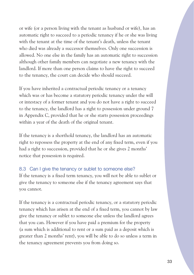or wife (or a person living with the tenant as husband or wife), has an automatic right to succeed to a periodic tenancy if he or she was living with the tenant at the time of the tenant's death, unless the tenant who died was already a successor themselves. Only one succession is allowed. No one else in the family has an automatic right to succession although other family members can negotiate a new tenancy with the landlord. If more than one person claims to have the right to succeed to the tenancy, the court can decide who should succeed.

If you have inherited a contractual periodic tenancy or a tenancy which was or has become a statutory periodic tenancy under the will or intestacy of a former tenant and you do not have a right to succeed to the tenancy, the landlord has a right to possession under ground 7 in Appendix C, provided that he or she starts possession proceedings within a year of the death of the original tenant.

If the tenancy is a shorthold tenancy, the landlord has an automatic right to repossess the property at the end of any fixed term, even if you had a right to succession, provided that he or she gives 2 months' notice that possession is required.

#### 8.3 Can I give the tenancy or sublet to someone else?

If the tenancy is a fixed term tenancy, you will not be able to sublet or give the tenancy to someone else if the tenancy agreement says that you cannot.

If the tenancy is a contractual periodic tenancy, or a statutory periodic tenancy which has arisen at the end of a fixed term, you cannot by law give the tenancy or sublet to someone else unless the landlord agrees that you can. However if you have paid a premium for the property (a sum which is additional to rent or a sum paid as a deposit which is greater than 2 months' rent), you will be able to do so unless a term in the tenancy agreement prevents you from doing so.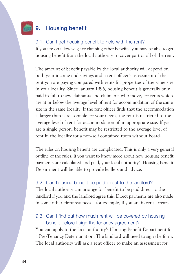# **9. Housing benefit**

#### 9.1 Can I get housing benefit to help with the rent?

If you are on a low wage or claiming other benefits, you may be able to get housing benefit from the local authority to cover part or all of the rent.

The amount of benefit payable by the local authority will depend on both your income and savings and a rent officer's assessment of the rent you are paying compared with rents for properties of the same size in your locality. Since January 1996, housing benefit is generally only paid in full to new claimants and claimants who move, for rents which are at or below the average level of rent for accommodation of the same size in the same locality. If the rent officer finds that the accommodation is larger than is reasonable for your needs, the rent is restricted to the average level of rent for accommodation of an appropriate size. If you are a single person, benefit may be restricted to the average level of rent in the locality for a non-self contained room without board.

The rules on housing benefit are complicated. This is only a very general outline of the rules. If you want to know more about how housing benefit payments are calculated and paid, your local authority's Housing Benefit Department will be able to provide leaflets and advice.

#### 9.2 Can housing benefit be paid direct to the landlord?

The local authority can arrange for benefit to be paid direct to the landlord if you and the landlord agree this. Direct payments are also made in some other circumstances – for example, if you are in rent arrears.

#### 9.3 Can I find out how much rent will be covered by housing benefit before I sign the tenancy agreement?

You can apply to the local authority's Housing Benefit Department for a Pre-Tenancy Determination. The landlord will need to sign the form. The local authority will ask a rent officer to make an assessment for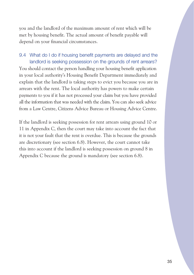you and the landlord of the maximum amount of rent which will be met by housing benefit. The actual amount of benefit payable will depend on your financial circumstances.

## 9.4 What do I do if housing benefit payments are delayed and the landlord is seeking possession on the grounds of rent arrears? You should contact the person handling your housing benefit application in your local authority's Housing Benefit Department immediately and explain that the landlord is taking steps to evict you because you are in arrears with the rent. The local authority has powers to make certain payments to you if it has not processed your claim but you have provided all the information that was needed with the claim. You can also seek advice from a Law Centre, Citizens Advice Bureau or Housing Advice Centre.

If the landlord is seeking possession for rent arrears using ground 10 or 11 in Appendix C, then the court may take into account the fact that it is not your fault that the rent is overdue. This is because the grounds are discretionary (see section 6.8). However, the court cannot take this into account if the landlord is seeking possession on ground 8 in Appendix C because the ground is mandatory (see section 6.8).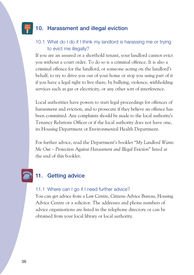# **10. Harassment and illegal eviction**

#### 10.1 What do I do if I think my landlord is harassing me or trying to evict me illegally?

If you are an assured or a shorthold tenant, your landlord cannot evict you without a court order. To do so is a criminal offence. It is also a criminal offence for the landlord, or someone acting on the landlord's behalf, to try to drive you out of your home or stop you using part of it if you have a legal right to live there, by bullying, violence, withholding services such as gas or electricity, or any other sort of interference.

Local authorities have powers to start legal proceedings for offences of harassment and eviction, and to prosecute if they believe an offence has been committed. Any complaints should be made to the local authority's Tenancy Relations Officer or if the local authority does not have one, its Housing Department or Environmental Health Department.

For further advice, read the Department's booklet "*My Landlord Wants Me Out – Protection Against Harassment and Illegal Eviction*" listed at the end of this booklet.

# **11. Getting advice**

#### 11.1 Where can I go if I need further advice?

You can get advice from a Law Centre, Citizens Advice Bureau, Housing Advice Centre or a solicitor. The addresses and phone numbers of advice organisations are listed in the telephone directory or can be obtained from your local library or local authority.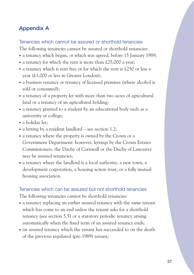# **Appendix A**

Tenancies which cannot be assured or shorthold tenancies

The following tenancies cannot be assured or shorthold tenancies:

- a tenancy which began, or which was agreed, before 15 January 1989;
- a tenancy for which the rent is more than £25,000 a year;
- $\bullet$  a tenancy which is rent free or for which the rent is £250 or less a year (£1,000 or less in Greater London);
- a business tenancy or tenancy of licensed premises (where alcohol is sold or consumed);
- a tenancy of a property let with more than two acres of agricultural land or a tenancy of an agricultural holding;
- a tenancy granted to a student by an educational body such as a university or college;
- a holiday let;
- a letting by a resident landlord see section 1.2;
- a tenancy where the property is owned by the Crown or a Government Department: however, lettings by the Crown Estates Commissioners, the Duchy of Cornwall or the Duchy of Lancaster may be assured tenancies;
- $\bullet$  a tenancy where the landlord is a local authority, a new town, a development corporation, a housing action trust, or a fully mutual housing association.

#### Tenancies which can be assured but not shorthold tenancies

The following tenancies cannot be shorthold tenancies:

- a tenancy replacing an earlier assured tenancy with the same tenant which has come to an end unless the tenant asks for a shorthold tenancy (see section 5.5) or a statutory periodic tenancy arising automatically when the fixed term of an assured tenancy ends;
- an assured tenancy which the tenant has succeeded to on the death of the previous regulated (pre-1989) tenant;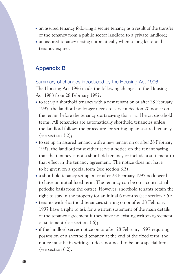- an assured tenancy following a secure tenancy as a result of the transfer of the tenancy from a public sector landlord to a private landlord;
- an assured tenancy arising automatically when a long leasehold tenancy expires.

#### **Appendix B**

Summary of changes introduced by the Housing Act 1996 The Housing Act 1996 made the following changes to the Housing Act 1988 from 28 February 1997:

- to set up a shorthold tenancy with a new tenant on or after 28 February 1997, the landlord no longer needs to serve a Section 20 notice on the tenant before the tenancy starts saying that it will be on shorthold terms. All tenancies are automatically shorthold tenancies unless the landlord follows the procedure for setting up an assured tenancy (see section 3.2);
- to set up an assured tenancy with a new tenant on or after 28 February 1997, the landlord must either serve a notice on the tenant saying that the tenancy is not a shorthold tenancy or include a statement to that effect in the tenancy agreement. The notice does not have to be given on a special form (see section 3.3);
- a shorthold tenancy set up on or after 28 February 1997 no longer has to have an initial fixed term. The tenancy can be on a contractual periodic basis from the outset. However, shorthold tenants retain the right to stay in the property for an initial 6 months (see section 3.5);
- tenants with shorthold tenancies starting on or after 28 February 1997 have a right to ask for a written statement of the main details of the tenancy agreement if they have no existing written agreement or statement (see section 3.6);
- if the landlord serves notice on or after 28 February 1997 requiring possession of a shorthold tenancy at the end of the fixed term, the notice must be in writing. It does not need to be on a special form (see section 6.2).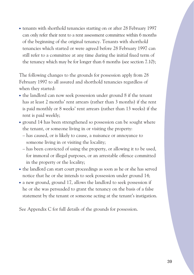• tenants with shorthold tenancies starting on or after 28 February 1997 can only refer their rent to a rent assessment committee within 6 months of the beginning of the original tenancy. Tenants with shorthold tenancies which started or were agreed before 28 February 1997 can still refer to a committee at any time during the initial fixed term of the tenancy which may be for longer than 6 months (see section 7.10);

The following changes to the grounds for possession apply from 28 February 1997 to all assured and shorthold tenancies regardless of when they started:

- the landlord can now seek possession under ground 8 if the tenant has at least 2 months' rent arrears (rather than 3 months) if the rent is paid monthly or 8 weeks' rent arrears (rather than 13 weeks) if the rent is paid weekly;
- ground 14 has been strengthened so possession can be sought where the tenant, or someone living in or visiting the property:
	- has caused, or is likely to cause, a nuisance or annoyance to someone living in or visiting the locality;
	- has been convicted of using the property, or allowing it to be used, for immoral or illegal purposes, or an arrestable offence committed in the property or the locality;
- the landlord can start court proceedings as soon as he or she has served notice that he or she intends to seek possession under ground 14;
- a new ground, ground 17, allows the landlord to seek possession if he or she was persuaded to grant the tenancy on the basis of a false statement by the tenant or someone acting at the tenant's instigation.

See Appendix C for full details of the grounds for possession.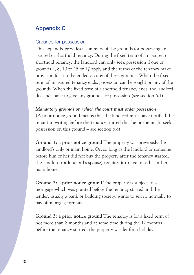# **Appendix C**

#### Grounds for possession

This appendix provides a summary of the grounds for possessing an assured or shorthold tenancy. During the fixed term of an assured or shorthold tenancy, the landlord can only seek possession if one of grounds 2, 8, 10 to 15 or 17 apply and the terms of the tenancy make provision for it to be ended on any of these grounds. When the fixed term of an assured tenancy ends, possession can be sought on any of the grounds. When the fixed term of a shorthold tenancy ends, the landlord does not have to give any grounds for possession (see section 6.1).

#### *Mandatory grounds on which the court must order possession*

(A prior notice ground means that the landlord must have notified the tenant in writing before the tenancy started that he or she might seek possession on this ground – see section 6.8).

**Ground 1: a prior notice ground** The property was previously the landlord's only or main home. Or, so long as the landlord or someone before him or her did not buy the property after the tenancy started, the landlord (or landlord's spouse) requires it to live in as his or her main home.

**Ground 2: a prior notice ground** The property is subject to a mortgage which was granted before the tenancy started and the lender, usually a bank or building society, wants to sell it, normally to pay off mortgage arrears.

**Ground 3: a prior notice ground** The tenancy is for a fixed term of not more than 8 months and at some time during the 12 months before the tenancy started, the property was let for a holiday.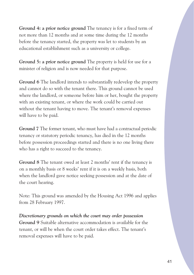**Ground 4: a prior notice ground** The tenancy is for a fixed term of not more than 12 months and at some time during the 12 months before the tenancy started, the property was let to students by an educational establishment such as a university or college.

**Ground 5: a prior notice ground** The property is held for use for a minister of religion and is now needed for that purpose.

**Ground 6** The landlord intends to substantially redevelop the property and cannot do so with the tenant there. This ground cannot be used where the landlord, or someone before him or her, bought the property with an existing tenant, or where the work could be carried out without the tenant having to move. The tenant's removal expenses will have to be paid.

**Ground 7** The former tenant, who must have had a contractual periodic tenancy or statutory periodic tenancy, has died in the 12 months before possession proceedings started and there is no one living there who has a right to succeed to the tenancy.

**Ground 8** The tenant owed at least 2 months' rent if the tenancy is on a monthly basis or 8 weeks' rent if it is on a weekly basis, both when the landlord gave notice seeking possession and at the date of the court hearing.

Note: This ground was amended by the Housing Act 1996 and applies from 28 February 1997.

*Discretionary grounds on which the court may order possession*  **Ground 9** Suitable alternative accommodation is available for the tenant, or will be when the court order takes effect. The tenant's removal expenses will have to be paid.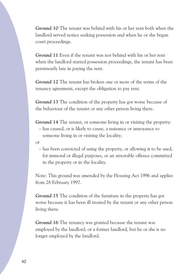**Ground 10** The tenant was behind with his or her rent both when the landlord served notice seeking possession and when he or she began court proceedings.

**Ground 11** Even if the tenant was not behind with his or her rent when the landlord started possession proceedings, the tenant has been persistently late in paying the rent.

**Ground 12** The tenant has broken one or more of the terms of the tenancy agreement, except the obligation to pay rent.

**Ground 13** The condition of the property has got worse because of the behaviour of the tenant or any other person living there.

**Ground 14** The tenant, or someone living in or visiting the property: – has caused, or is likely to cause, a nuisance or annoyance to someone living in or visiting the locality;

or

– has been convicted of using the property, or allowing it to be used, for immoral or illegal purposes, or an arrestable offence committed in the property or in the locality.

Note: This ground was amended by the Housing Act 1996 and applies from 28 February 1997.

**Ground 15** The condition of the furniture in the property has got worse because it has been ill treated by the tenant or any other person living there.

**Ground 16** The tenancy was granted because the tenant was employed by the landlord, or a former landlord, but he or she is no longer employed by the landlord.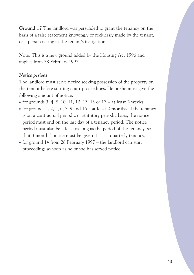**Ground 17** The landlord was persuaded to grant the tenancy on the basis of a false statement knowingly or recklessly made by the tenant, or a person acting at the tenant's instigation.

Note: This is a new ground added by the Housing Act 1996 and applies from 28 February 1997.

#### *Notice periods*

The landlord must serve notice seeking possession of the property on the tenant before starting court proceedings. He or she must give the following amount of notice:

- for grounds 3, 4, 8, 10, 11, 12, 13, 15 or 17 **at least 2 weeks**
- for grounds 1, 2, 5, 6, 7, 9 and  $16 at least 2 months$ . If the tenancy is on a contractual periodic or statutory periodic basis, the notice period must end on the last day of a tenancy period. The notice period must also be a least as long as the period of the tenancy, so that 3 months' notice must be given if it is a quarterly tenancy.
- for ground 14 from 28 February  $1997 -$  the landlord can start proceedings as soon as he or she has served notice.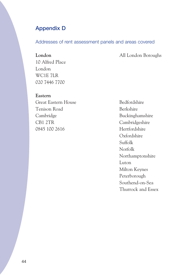# **Appendix D**

#### Addresses of rent assessment panels and areas covered

**London** All London Boroughs

10 Alfred Place London WC1E 7LR 020 7446 7700

**Eastern**  Great Eastern House Bedfordshire Tenison Road Berkshire Cambridge Buckinghamshire CB1 2TR Cambridgeshire 0845 100 2616 Hertfordshire

Oxfordshire Suffolk Norfolk Northamptonshire Luton Milton Keynes Peterborough Southend-on-Sea Thurrock and Essex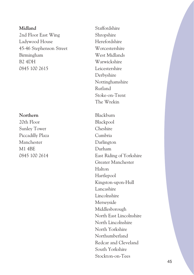# **Midland** Staffordshire 2nd Floor East Wing Ladywood House 45-46 Stephenson Street Birmingham B2 4DH 0845 100 2615 Leicestershire

#### **Northern** Blackburn

 $20th$  Floor Sunley Tower Piccadilly Plaza Manchester M1 4BE

Shropshire Herefordshire Worcestershire West Midlands Warwickshire Derbyshire Nottinghamshire Rutland Stoke-on-Trent The Wrekin

Blackpool Cheshire Cumbria Darlington Durham 0845 100 2614 East Riding of Yorkshire Greater Manchester Halton Hartlepool Kingston-upon-Hull Lancashire Lincolnshire Merseyside Middlesborough North East Lincolnshire North Lincolnshire North Yorkshire Northumberland Redcar and Cleveland South Yorkshire Stockton-on-Tees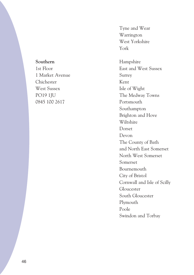#### **Southern**

1st Floor 1 Market Avenue Chichester West Sussex PO19 1JU 0845 100 2617

Tyne and Wear Warrington West Yorkshire York

Hampshire East and West Sussex Surrey Kent Isle of Wight The Medway Towns Portsmouth Southampton Brighton and Hove Wiltshire Dorset Devon The County of Bath and North East Somerset North West Somerset Somerset Bournemouth City of Bristol Cornwall and Isle of Scilly Gloucester South Gloucester Plymouth Poole Swindon and Torbay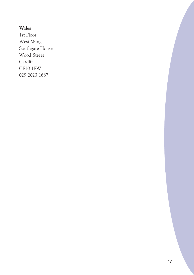#### **Wales**

1st Floor West Wing Southgate House Wood Street **Cardiff** CF10 1EW 029 2023 1687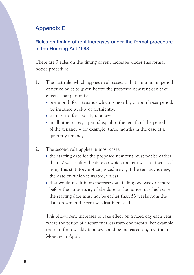# **Appendix E**

#### **Rules on timing of rent increases under the formal procedure in the Housing Act 1988**

There are 3 rules on the timing of rent increases under this formal notice procedure:

- 1. The first rule, which applies in all cases, is that a minimum period of notice must be given before the proposed new rent can take effect. That period is:
	- one month for a tenancy which is monthly or for a lesser period, for instance weekly or fortnightly;
	- six months for a yearly tenancy;
	- in all other cases, a period equal to the length of the period of the tenancy – for example, three months in the case of a quarterly tenancy.
- 2. The second rule applies in most cases:
	- the starting date for the proposed new rent must not be earlier than 52 weeks after the date on which the rent was last increased using this statutory notice procedure or, if the tenancy is new, the date on which it started, unless
	- that would result in an increase date falling one week or more before the anniversary of the date in the notice, in which case the starting date must not be earlier than 53 weeks from the date on which the rent was last increased.

This allows rent increases to take effect on a fixed day each year where the period of a tenancy is less than one month. For example, the rent for a weekly tenancy could be increased on, say, the first Monday in April.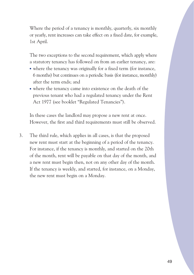Where the period of a tenancy is monthly, quarterly, six monthly or yearly, rent increases can take effect on a fixed date, for example, 1st April.

The two exceptions to the second requirement, which apply where a statutory tenancy has followed on from an earlier tenancy, are:

- where the tenancy was originally for a fixed term (for instance, 6 months) but continues on a periodic basis (for instance, monthly) after the term ends; and
- where the tenancy came into existence on the death of the previous tenant who had a regulated tenancy under the Rent Act 1977 (see booklet "Regulated Tenancies").

In these cases the landlord may propose a new rent at once. However, the first and third requirements must still be observed.

3. The third rule, which applies in all cases, is that the proposed new rent must start at the beginning of a period of the tenancy. For instance, if the tenancy is monthly, and started on the 20th of the month, rent will be payable on that day of the month, and a new rent must begin then, not on any other day of the month. If the tenancy is weekly, and started, for instance, on a Monday, the new rent must begin on a Monday.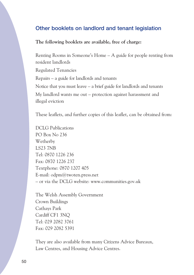#### **Other booklets on landlord and tenant legislation**

**The following booklets are available, free of charge:** 

Renting Rooms in Someone's Home – A guide for people renting from resident landlords Regulated Tenancies Repairs – a guide for landlords and tenants Notice that you must leave – a brief guide for landlords and tenants My landlord wants me out – protection against harassment and illegal eviction

These leaflets, and further copies of this leaflet, can be obtained from:

DCLG Publications PO Box No 236 Wetherby LS23 7NB Tel: 0870 1226 236 Fax: 0870 1226 237 Textphone: 0870 1207 405 E-mail: [odpm@twoten.press.net](mailto:odpm@twoten.press.net) – or via the DCLG website: <www.communities.gov.uk>

The Welsh Assembly Government Crown Buildings Cathays Park Cardiff CF1 3NQ Tel: 029 2082 3761 Fax: 029 2082 5391

They are also available from many Citizens Advice Bureaux, Law Centres, and Housing Advice Centres.